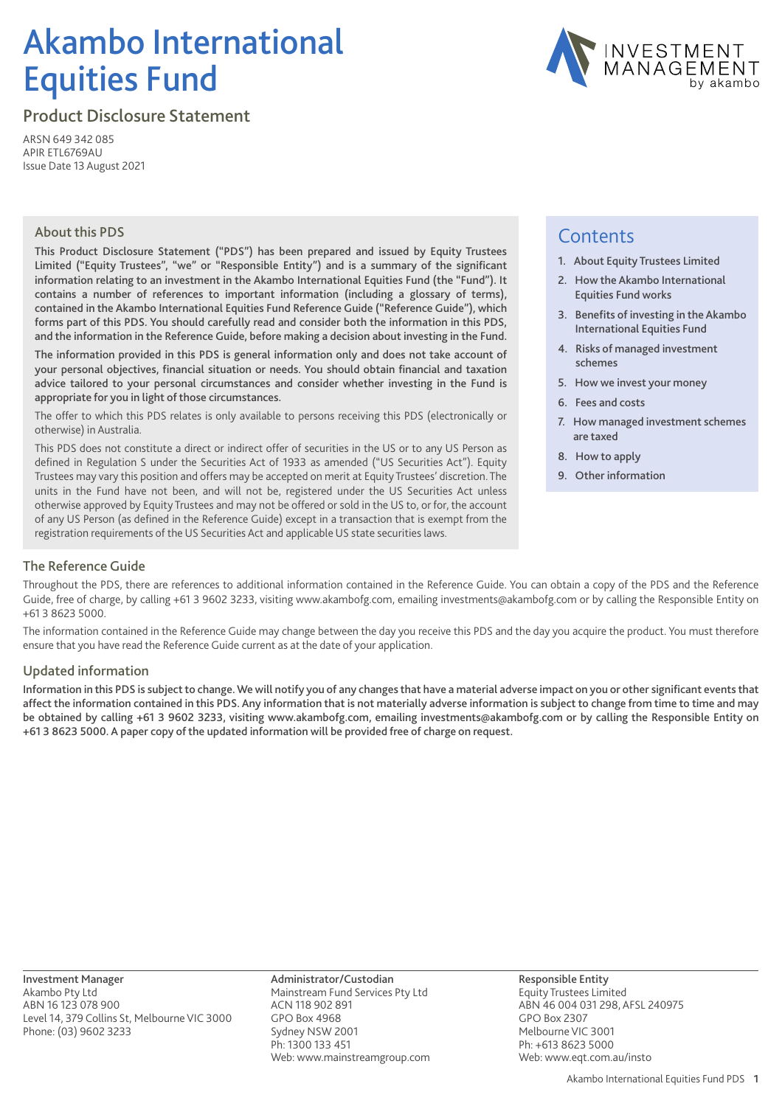# Akambo International Equities Fund



Product Disclosure Statement

ARSN 649 342 085 APIR ETL6769AU Issue Date 13 August 2021

#### About this PDS

This Product Disclosure Statement ("PDS") has been prepared and issued by Equity Trustees Limited ("Equity Trustees", "we" or "Responsible Entity") and is a summary of the significant information relating to an investment in the Akambo International Equities Fund (the "Fund"). It contains a number of references to important information (including a glossary of terms), contained in the Akambo International Equities Fund Reference Guide ("Reference Guide"), which forms part of this PDS. You should carefully read and consider both the information in this PDS, and the information in the Reference Guide, before making a decision about investing in the Fund.

The information provided in this PDS is general information only and does not take account of your personal objectives, financial situation or needs. You should obtain financial and taxation advice tailored to your personal circumstances and consider whether investing in the Fund is appropriate for you in light of those circumstances.

The offer to which this PDS relates is only available to persons receiving this PDS (electronically or otherwise) in Australia.

This PDS does not constitute a direct or indirect offer of securities in the US or to any US Person as defined in Regulation S under the Securities Act of 1933 as amended ("US Securities Act"). Equity Trustees may vary this position and offers may be accepted on merit at Equity Trustees' discretion. The units in the Fund have not been, and will not be, registered under the US Securities Act unless otherwise approved by Equity Trustees and may not be offered or sold in the US to, or for, the account of any US Person (as defined in the Reference Guide) except in a transaction that is exempt from the registration requirements of the US Securities Act and applicable US state securities laws.

## **Contents**

- 1. About Equity Trustees Limited
- 2. How the Akambo International Equities Fund works
- 3. Benefits of investing in the Akambo International Equities Fund
- 4. Risks of managed investment schemes
- 5. How we invest your money
- 6. Fees and costs
- 7. How managed investment schemes are taxed
- 8. How to apply
- 9. Other information

#### The Reference Guide

Throughout the PDS, there are references to additional information contained in the Reference Guide. You can obtain a copy of the PDS and the Reference Guide, free of charge, by calling +61 3 9602 3233, visiting www.akambofg.com, emailing investments@akambofg.com or by calling the Responsible Entity on +61 3 8623 5000.

The information contained in the Reference Guide may change between the day you receive this PDS and the day you acquire the product. You must therefore ensure that you have read the Reference Guide current as at the date of your application.

#### Updated information

Information in this PDS is subject to change.We will notify you of any changes that have a material adverse impact on you or other significant events that affect the information contained in this PDS. Any information that is not materially adverse information is subject to change from time to time and may be obtained by calling +61 3 9602 3233, visiting www.akambofg.com, emailing investments@akambofg.com or by calling the Responsible Entity on +61 3 8623 5000. A paper copy of the updated information will be provided free of charge on request.

Investment Manager Akambo Pty Ltd ABN 16 123 078 900 Level 14, 379 Collins St, Melbourne VIC 3000 Phone: (03) 9602 3233

Administrator/Custodian Mainstream Fund Services Pty Ltd ACN 118 902 891 GPO Box 4968 Sydney NSW 2001 Ph: 1300 133 451 Web: www.mainstreamgroup.com Responsible Entity Equity Trustees Limited ABN 46 004 031 298, AFSL 240975 GPO Box 2307 Melbourne VIC 3001 Ph: +613 8623 5000 Web: www.eqt.com.au/insto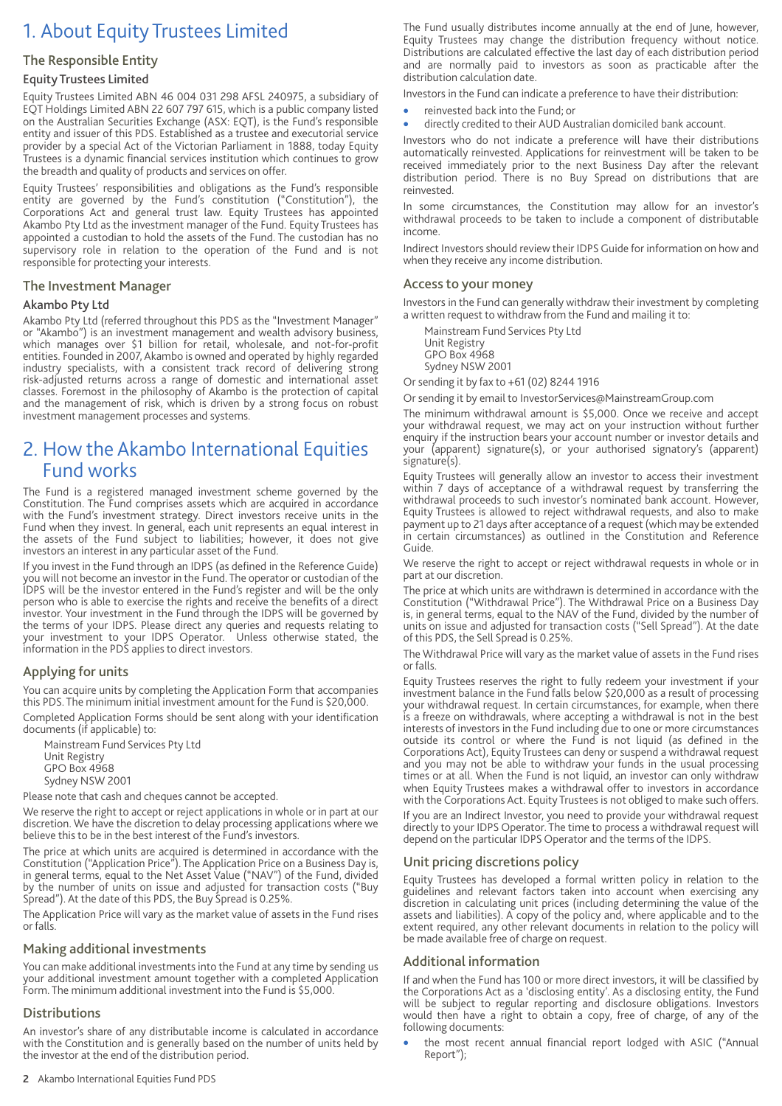## 1. About Equity Trustees Limited

#### The Responsible Entity

#### Equity Trustees Limited

Equity Trustees Limited ABN 46 004 031 298 AFSL 240975, a subsidiary of EQT Holdings Limited ABN 22 607 797 615, which is a public company listed on the Australian Securities Exchange (ASX: EQT), is the Fund's responsible entity and issuer of this PDS. Established as a trustee and executorial service provider by a special Act of the Victorian Parliament in 1888, today Equity Trustees is a dynamic financial services institution which continues to grow the breadth and quality of products and services on offer.

Equity Trustees' responsibilities and obligations as the Fund's responsible entity are governed by the Fund's constitution ("Constitution"), the Corporations Act and general trust law. Equity Trustees has appointed Akambo Pty Ltd as the investment manager of the Fund. Equity Trustees has appointed a custodian to hold the assets of the Fund. The custodian has no supervisory role in relation to the operation of the Fund and is not responsible for protecting your interests.

#### The Investment Manager

#### Akambo Pty Ltd

Akambo Pty Ltd (referred throughout this PDS as the "Investment Manager" or "Akambo") is an investment management and wealth advisory business, which manages over \$1 billion for retail, wholesale, and not-for-profit entities. Founded in 2007, Akambo is owned and operated by highly regarded industry specialists, with a consistent track record of delivering strong risk-adjusted returns across a range of domestic and international asset classes. Foremost in the philosophy of Akambo is the protection of capital and the management of risk, which is driven by a strong focus on robust investment management processes and systems.

## 2. How the Akambo International Equities Fund works

The Fund is a registered managed investment scheme governed by the Constitution. The Fund comprises assets which are acquired in accordance with the Fund's investment strategy. Direct investors receive units in the Fund when they invest. In general, each unit represents an equal interest in the assets of the Fund subject to liabilities; however, it does not give investors an interest in any particular asset of the Fund.

If you invest in the Fund through an IDPS (as defined in the Reference Guide) you will not become an investor in the Fund. The operator or custodian of the IDPS will be the investor entered in the Fund's register and will be the only person who is able to exercise the rights and receive the benefits of a direct investor. Your investment in the Fund through the IDPS will be governed by the terms of your IDPS. Please direct any queries and requests relating to your investment to your IDPS Operator. Unless otherwise stated, the information in the PDS applies to direct investors.

#### Applying for units

You can acquire units by completing the Application Form that accompanies this PDS. The minimum initial investment amount for the Fund is \$20,000.

Completed Application Forms should be sent along with your identification documents (if applicable) to:

Mainstream Fund Services Pty Ltd Unit Registry GPO Box 4968 Sydney NSW 2001

Please note that cash and cheques cannot be accepted.

We reserve the right to accept or reject applications in whole or in part at our discretion. We have the discretion to delay processing applications where we believe this to be in the best interest of the Fund's investors.

The price at which units are acquired is determined in accordance with the Constitution ("Application Price"). The Application Price on a Business Day is, in general terms, equal to the Net Asset Value ("NAV") of the Fund, divided by the number of units on issue and adjusted for transaction costs ("Buy Spread"). At the date of this PDS, the Buy Spread is 0.25%.

The Application Price will vary as the market value of assets in the Fund rises or falls.

#### Making additional investments

You can make additional investments into the Fund at any time by sending us your additional investment amount together with a completed Application Form. The minimum additional investment into the Fund is \$5,000.

#### **Distributions**

An investor's share of any distributable income is calculated in accordance with the Constitution and is generally based on the number of units held by the investor at the end of the distribution period.

The Fund usually distributes income annually at the end of June, however, Equity Trustees may change the distribution frequency without notice. Distributions are calculated effective the last day of each distribution period and are normally paid to investors as soon as practicable after the distribution calculation date.

Investors in the Fund can indicate a preference to have their distribution:

- reinvested back into the Fund; or
- directly credited to their AUD Australian domiciled bank account.

Investors who do not indicate a preference will have their distributions automatically reinvested. Applications for reinvestment will be taken to be received immediately prior to the next Business Day after the relevant distribution period. There is no Buy Spread on distributions that are reinvested.

In some circumstances, the Constitution may allow for an investor's withdrawal proceeds to be taken to include a component of distributable income.

Indirect Investors should review their IDPS Guide for information on how and when they receive any income distribution.

#### Access to your money

Investors in the Fund can generally withdraw their investment by completing a written request to withdraw from the Fund and mailing it to:

Mainstream Fund Services Pty Ltd

Unit Registry GPO Box 4968

Sydney NSW 2001

Or sending it by fax to +61 (02) 8244 1916

Or sending it by email to InvestorServices@MainstreamGroup.com

The minimum withdrawal amount is \$5,000. Once we receive and accept your withdrawal request, we may act on your instruction without further enquiry if the instruction bears your account number or investor details and your (apparent) signature(s), or your authorised signatory's (apparent) signature(s).

Equity Trustees will generally allow an investor to access their investment within 7 days of acceptance of a withdrawal request by transferring the withdrawal proceeds to such investor's nominated bank account. However, Equity Trustees is allowed to reject withdrawal requests, and also to make payment up to 21 days after acceptance of a request (which may be extended in certain circumstances) as outlined in the Constitution and Reference Guide.

We reserve the right to accept or reject withdrawal requests in whole or in part at our discretion.

The price at which units are withdrawn is determined in accordance with the Constitution ("Withdrawal Price"). The Withdrawal Price on a Business Day is, in general terms, equal to the NAV of the Fund, divided by the number of units on issue and adjusted for transaction costs ("Sell Spread"). At the date of this PDS, the Sell Spread is 0.25%.

The Withdrawal Price will vary as the market value of assets in the Fund rises or falls.

Equity Trustees reserves the right to fully redeem your investment if your investment balance in the Fund falls below \$20,000 as a result of processing your withdrawal request. In certain circumstances, for example, when there is a freeze on withdrawals, where accepting a withdrawal is not in the best interests of investors in the Fund including due to one or more circumstances outside its control or where the Fund is not liquid (as defined in the Corporations Act), Equity Trustees can deny or suspend a withdrawal request and you may not be able to withdraw your funds in the usual processing times or at all. When the Fund is not liquid, an investor can only withdraw when Equity Trustees makes a withdrawal offer to investors in accordance with the Corporations Act. Equity Trustees is not obliged to make such offers.

If you are an Indirect Investor, you need to provide your withdrawal request directly to your IDPS Operator. The time to process a withdrawal request will depend on the particular IDPS Operator and the terms of the IDPS.

#### Unit pricing discretions policy

Equity Trustees has developed a formal written policy in relation to the guidelines and relevant factors taken into account when exercising any discretion in calculating unit prices (including determining the value of the assets and liabilities). A copy of the policy and, where applicable and to the extent required, any other relevant documents in relation to the policy will be made available free of charge on request.

#### Additional information

If and when the Fund has 100 or more direct investors, it will be classified by the Corporations Act as a 'disclosing entity'. As a disclosing entity, the Fund will be subject to regular reporting and disclosure obligations. Investors would then have a right to obtain a copy, free of charge, of any of the following documents:

• the most recent annual financial report lodged with ASIC ("Annual Report");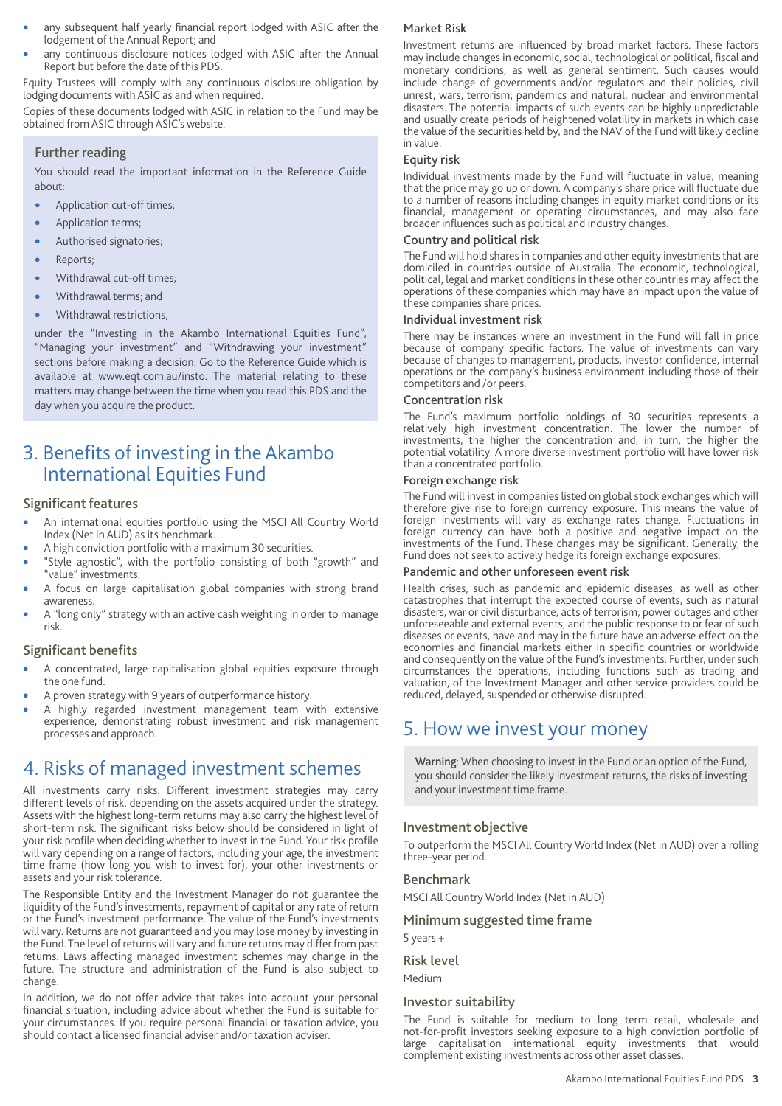- any subsequent half yearly financial report lodged with ASIC after the lodgement of the Annual Report; and
- any continuous disclosure notices lodged with ASIC after the Annual Report but before the date of this PDS.

Equity Trustees will comply with any continuous disclosure obligation by lodging documents with ASIC as and when required.

Copies of these documents lodged with ASIC in relation to the Fund may be obtained from ASIC through ASIC's website.

#### Further reading

You should read the important information in the Reference Guide about:

- Application cut-off times;
- Application terms;
- Authorised signatories;
- Reports;
- Withdrawal cut-off times;
- Withdrawal terms; and
- Withdrawal restrictions,

under the "Investing in the Akambo International Equities Fund", "Managing your investment" and "Withdrawing your investment" sections before making a decision. Go to the Reference Guide which is available at www.eqt.com.au/insto. The material relating to these matters may change between the time when you read this PDS and the day when you acquire the product.

## 3. Benefits of investing in the Akambo International Equities Fund

#### Significant features

- An international equities portfolio using the MSCI All Country World Index (Net in AUD) as its benchmark.
- A high conviction portfolio with a maximum 30 securities.
- "Style agnostic", with the portfolio consisting of both "growth" and "value" investments.
- A focus on large capitalisation global companies with strong brand awareness.
- A "long only" strategy with an active cash weighting in order to manage risk.

#### Significant benefits

- A concentrated, large capitalisation global equities exposure through the one fund.
- A proven strategy with 9 years of outperformance history.
- A highly regarded investment management team with extensive experience, demonstrating robust investment and risk management processes and approach.

### 4. Risks of managed investment schemes

All investments carry risks. Different investment strategies may carry different levels of risk, depending on the assets acquired under the strategy. Assets with the highest long-term returns may also carry the highest level of short-term risk. The significant risks below should be considered in light of your risk profile when deciding whether to invest in the Fund. Your risk profile will vary depending on a range of factors, including your age, the investment time frame (how long you wish to invest for), your other investments or assets and your risk tolerance.

The Responsible Entity and the Investment Manager do not guarantee the liquidity of the Fund's investments, repayment of capital or any rate of return or the Fund's investment performance. The value of the Fund's investments will vary. Returns are not guaranteed and you may lose money by investing in the Fund.The level of returns will vary and future returns may differ from past returns. Laws affecting managed investment schemes may change in the future. The structure and administration of the Fund is also subject to change.

In addition, we do not offer advice that takes into account your personal financial situation, including advice about whether the Fund is suitable for your circumstances. If you require personal financial or taxation advice, you should contact a licensed financial adviser and/or taxation adviser.

#### Market Risk

Investment returns are influenced by broad market factors. These factors may include changes in economic, social, technological or political, fiscal and monetary conditions, as well as general sentiment. Such causes would include change of governments and/or regulators and their policies, civil unrest, wars, terrorism, pandemics and natural, nuclear and environmental disasters. The potential impacts of such events can be highly unpredictable and usually create periods of heightened volatility in markets in which case the value of the securities held by, and the NAV of the Fund will likely decline in value.

#### Equity risk

Individual investments made by the Fund will fluctuate in value, meaning that the price may go up or down. A company's share price will fluctuate due to a number of reasons including changes in equity market conditions or its financial, management or operating circumstances, and may also face broader influences such as political and industry changes.

#### Country and political risk

The Fund will hold shares in companies and other equity investments that are domiciled in countries outside of Australia. The economic, technological, political, legal and market conditions in these other countries may affect the operations of these companies which may have an impact upon the value of these companies share prices.

#### Individual investment risk

There may be instances where an investment in the Fund will fall in price because of company specific factors. The value of investments can vary because of changes to management, products, investor confidence, internal operations or the company's business environment including those of their competitors and /or peers.

#### Concentration risk

The Fund's maximum portfolio holdings of 30 securities represents a relatively high investment concentration. The lower the number of investments, the higher the concentration and, in turn, the higher the potential volatility. A more diverse investment portfolio will have lower risk than a concentrated portfolio.

#### Foreign exchange risk

The Fund will invest in companies listed on global stock exchanges which will therefore give rise to foreign currency exposure. This means the value of foreign investments will vary as exchange rates change. Fluctuations in foreign currency can have both a positive and negative impact on the investments of the Fund. These changes may be significant. Generally, the Fund does not seek to actively hedge its foreign exchange exposures.

#### Pandemic and other unforeseen event risk

Health crises, such as pandemic and epidemic diseases, as well as other catastrophes that interrupt the expected course of events, such as natural disasters, war or civil disturbance, acts of terrorism, power outages and other unforeseeable and external events, and the public response to or fear of such diseases or events, have and may in the future have an adverse effect on the economies and financial markets either in specific countries or worldwide and consequently on the value of the Fund's investments. Further, under such circumstances the operations, including functions such as trading and valuation, of the Investment Manager and other service providers could be reduced, delayed, suspended or otherwise disrupted.

## 5. How we invest your money

Warning: When choosing to invest in the Fund or an option of the Fund, you should consider the likely investment returns, the risks of investing and your investment time frame.

#### Investment objective

To outperform the MSCI All Country World Index (Net in AUD) over a rolling three-year period.

#### Benchmark

MSCI All Country World Index (Net in AUD)

#### Minimum suggested time frame

5 years +

#### Risk level

Medium

#### Investor suitability

The Fund is suitable for medium to long term retail, wholesale and not-for-profit investors seeking exposure to a high conviction portfolio of large capitalisation international equity investments that would complement existing investments across other asset classes.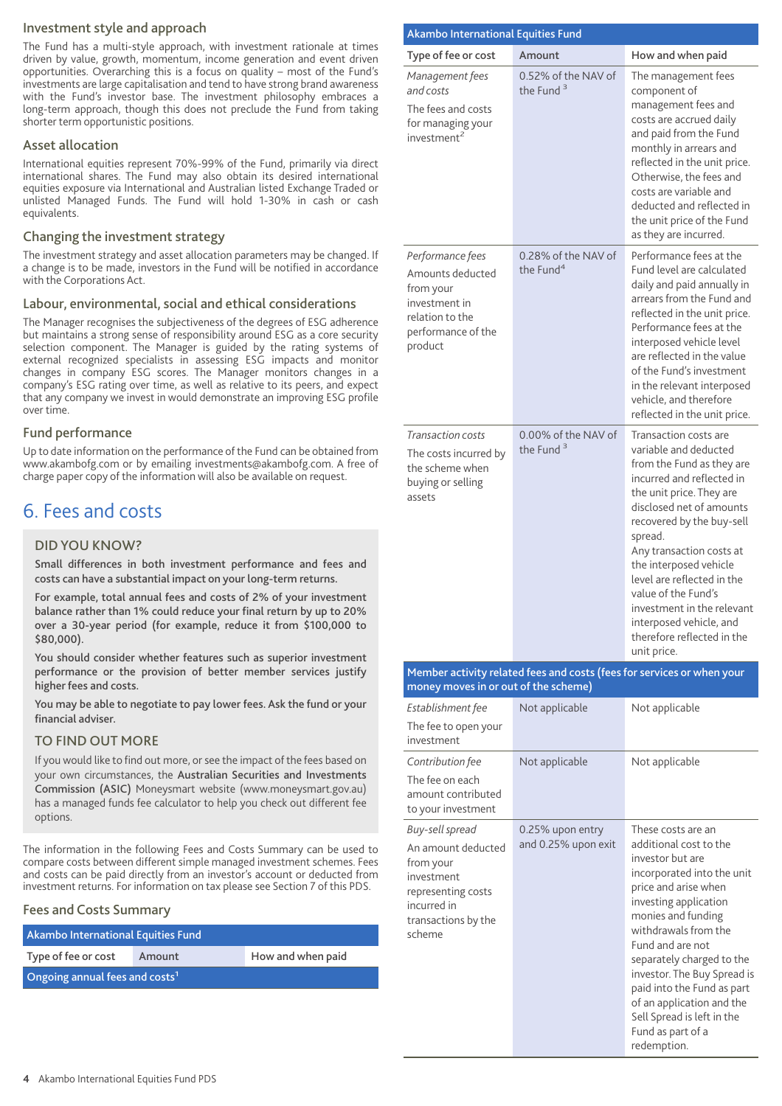#### Investment style and approach

The Fund has a multi-style approach, with investment rationale at times driven by value, growth, momentum, income generation and event driven opportunities. Overarching this is a focus on quality – most of the Fund's investments are large capitalisation and tend to have strong brand awareness with the Fund's investor base. The investment philosophy embraces a long-term approach, though this does not preclude the Fund from taking shorter term opportunistic positions.

#### Asset allocation

International equities represent 70%-99% of the Fund, primarily via direct international shares. The Fund may also obtain its desired international equities exposure via International and Australian listed Exchange Traded or unlisted Managed Funds. The Fund will hold 1-30% in cash or cash equivalents.

#### Changing the investment strategy

The investment strategy and asset allocation parameters may be changed. If a change is to be made, investors in the Fund will be notified in accordance with the Corporations Act.

#### Labour, environmental, social and ethical considerations

The Manager recognises the subjectiveness of the degrees of ESG adherence but maintains a strong sense of responsibility around ESG as a core security selection component. The Manager is guided by the rating systems of external recognized specialists in assessing ESG impacts and monitor changes in company ESG scores. The Manager monitors changes in a company's ESG rating over time, as well as relative to its peers, and expect that any company we invest in would demonstrate an improving ESG profile over time.

#### Fund performance

Up to date information on the performance of the Fund can be obtained from www.akambofg.com or by emailing investments@akambofg.com. A free of charge paper copy of the information will also be available on request.

## 6. Fees and costs

#### DID YOU KNOW?

Small differences in both investment performance and fees and costs can have a substantial impact on your long-term returns.

For example, total annual fees and costs of 2% of your investment balance rather than 1% could reduce your final return by up to 20% over a 30-year period (for example, reduce it from \$100,000 to \$80,000).

You should consider whether features such as superior investment performance or the provision of better member services justify higher fees and costs.

You may be able to negotiate to pay lower fees. Ask the fund or your financial adviser.

#### TO FIND OUT MORE

If you would like to find out more, or see the impact of the fees based on your own circumstances, the Australian Securities and Investments Commission (ASIC) Moneysmart website (www.moneysmart.gov.au) has a managed funds fee calculator to help you check out different fee options.

The information in the following Fees and Costs Summary can be used to compare costs between different simple managed investment schemes. Fees and costs can be paid directly from an investor's account or deducted from investment returns. For information on tax please see Section 7 of this PDS.

#### Fees and Costs Summary

Akambo International Equities Fund Type of fee or cost Amount How and when paid Ongoing annual fees and costs<sup>1</sup>

| Akambo International Equities Fund                                                                                                     |                                         |                                                                                                                                                                                                                                                                                                                                                                                                                           |
|----------------------------------------------------------------------------------------------------------------------------------------|-----------------------------------------|---------------------------------------------------------------------------------------------------------------------------------------------------------------------------------------------------------------------------------------------------------------------------------------------------------------------------------------------------------------------------------------------------------------------------|
| Type of fee or cost                                                                                                                    | Amount                                  | How and when paid                                                                                                                                                                                                                                                                                                                                                                                                         |
| Management fees<br>and costs<br>The fees and costs<br>for managing your<br>investment <sup>2</sup>                                     | 0.52% of the NAV of<br>the Fund $3$     | The management fees<br>component of<br>management fees and<br>costs are accrued daily<br>and paid from the Fund<br>monthly in arrears and<br>reflected in the unit price.<br>Otherwise, the fees and<br>costs are variable and<br>deducted and reflected in<br>the unit price of the Fund<br>as they are incurred.                                                                                                        |
| Performance fees<br>Amounts deducted<br>from your<br>investment in<br>relation to the<br>performance of the<br>product                 | 0.28% of the NAV of<br>the Fund $4$     | Performance fees at the<br>Fund level are calculated<br>daily and paid annually in<br>arrears from the Fund and<br>reflected in the unit price.<br>Performance fees at the<br>interposed vehicle level<br>are reflected in the value<br>of the Fund's investment<br>in the relevant interposed<br>vehicle, and therefore<br>reflected in the unit price.                                                                  |
| Transaction costs<br>The costs incurred by<br>the scheme when<br>buying or selling<br>assets                                           | 0.00% of the NAV of<br>the Fund $3$     | Transaction costs are<br>variable and deducted<br>from the Fund as they are<br>incurred and reflected in<br>the unit price. They are<br>disclosed net of amounts<br>recovered by the buy-sell<br>spread.<br>Any transaction costs at<br>the interposed vehicle<br>level are reflected in the<br>value of the Fund's<br>investment in the relevant<br>interposed vehicle, and<br>therefore reflected in the<br>unit price. |
|                                                                                                                                        |                                         | Member activity related fees and costs (fees for services or when your                                                                                                                                                                                                                                                                                                                                                    |
| money moves in or out of the scheme)<br>Establishment fee<br>The fee to open your<br>investment                                        | Not applicable                          | Not applicable                                                                                                                                                                                                                                                                                                                                                                                                            |
| Contribution fee<br>The fee on each<br>amount contributed<br>to your investment                                                        | Not applicable                          | Not applicable                                                                                                                                                                                                                                                                                                                                                                                                            |
| Buy-sell spread<br>An amount deducted<br>from your<br>investment<br>representing costs<br>incurred in<br>transactions by the<br>scheme | 0.25% upon entry<br>and 0.25% upon exit | These costs are an<br>additional cost to the<br>investor but are<br>incorporated into the unit<br>price and arise when<br>investing application<br>monies and funding<br>withdrawals from the<br>Fund and are not<br>separately charged to the<br>investor. The Buy Spread is<br>paid into the Fund as part<br>of an application and the<br>Sell Spread is left in the<br>Fund as part of a<br>redemption.                |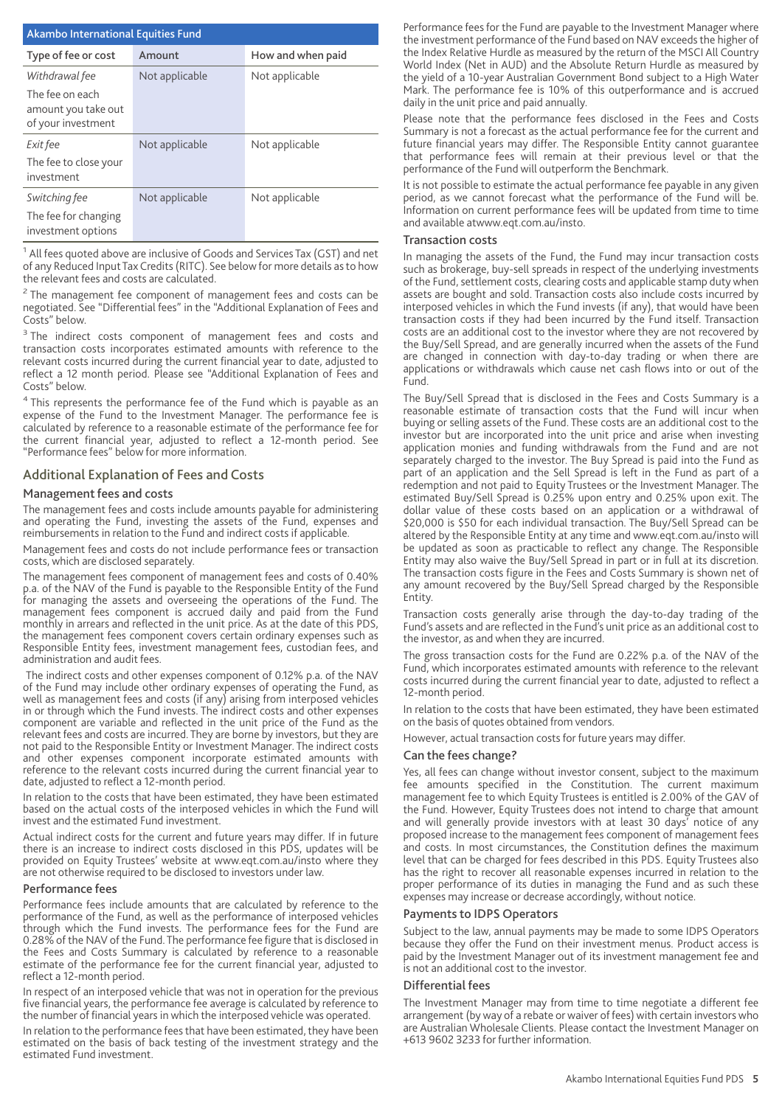| <b>Akambo International Equities Fund</b>                                      |                |                   |  |  |
|--------------------------------------------------------------------------------|----------------|-------------------|--|--|
| Type of fee or cost                                                            | Amount         | How and when paid |  |  |
| Withdrawal fee<br>The fee on each<br>amount you take out<br>of your investment | Not applicable | Not applicable    |  |  |
| Exit fee<br>The fee to close your<br>investment                                | Not applicable | Not applicable    |  |  |
| Switching fee<br>The fee for changing<br>investment options                    | Not applicable | Not applicable    |  |  |

<sup>1</sup> All fees quoted above are inclusive of Goods and Services Tax (GST) and net of any Reduced InputTax Credits (RITC). See below for more details as to how the relevant fees and costs are calculated.

 $2$  The management fee component of management fees and costs can be negotiated. See "Differential fees" in the "Additional Explanation of Fees and Costs" below.

<sup>3</sup> The indirect costs component of management fees and costs and transaction costs incorporates estimated amounts with reference to the relevant costs incurred during the current financial year to date, adjusted to reflect a 12 month period. Please see "Additional Explanation of Fees and Costs" below.

<sup>4</sup> This represents the performance fee of the Fund which is payable as an expense of the Fund to the Investment Manager. The performance fee is calculated by reference to a reasonable estimate of the performance fee for the current financial year, adjusted to reflect a 12-month period. See "Performance fees" below for more information.

#### Additional Explanation of Fees and Costs

#### Management fees and costs

The management fees and costs include amounts payable for administering and operating the Fund, investing the assets of the Fund, expenses and reimbursements in relation to the Fund and indirect costs if applicable.

Management fees and costs do not include performance fees or transaction costs, which are disclosed separately.

The management fees component of management fees and costs of 0.40% p.a. of the NAV of the Fund is payable to the Responsible Entity of the Fund for managing the assets and overseeing the operations of the Fund. The management fees component is accrued daily and paid from the Fund monthly in arrears and reflected in the unit price. As at the date of this PDS, the management fees component covers certain ordinary expenses such as Responsible Entity fees, investment management fees, custodian fees, and administration and audit fees.

The indirect costs and other expenses component of 0.12% p.a. of the NAV of the Fund may include other ordinary expenses of operating the Fund, as well as management fees and costs (if any) arising from interposed vehicles in or through which the Fund invests. The indirect costs and other expenses component are variable and reflected in the unit price of the Fund as the relevant fees and costs are incurred. They are borne by investors, but they are not paid to the Responsible Entity or Investment Manager. The indirect costs and other expenses component incorporate estimated amounts with reference to the relevant costs incurred during the current financial year to date, adjusted to reflect a 12-month period.

In relation to the costs that have been estimated, they have been estimated based on the actual costs of the interposed vehicles in which the Fund will invest and the estimated Fund investment.

Actual indirect costs for the current and future years may differ. If in future there is an increase to indirect costs disclosed in this PDS, updates will be provided on Equity Trustees' website at www.eqt.com.au/insto where they are not otherwise required to be disclosed to investors under law.

#### Performance fees

Performance fees include amounts that are calculated by reference to the performance of the Fund, as well as the performance of interposed vehicles through which the Fund invests. The performance fees for the Fund are 0.28% of the NAV of the Fund. The performance fee figure that is disclosed in the Fees and Costs Summary is calculated by reference to a reasonable estimate of the performance fee for the current financial year, adjusted to reflect a 12-month period.

In respect of an interposed vehicle that was not in operation for the previous five financial years, the performance fee average is calculated by reference to the number of financial years in which the interposed vehicle was operated.

In relation to the performance fees that have been estimated, they have been estimated on the basis of back testing of the investment strategy and the estimated Fund investment.

Performance fees for the Fund are payable to the Investment Manager where the investment performance of the Fund based on NAV exceeds the higher of the Index Relative Hurdle as measured by the return of the MSCI All Country World Index (Net in AUD) and the Absolute Return Hurdle as measured by the yield of a 10-year Australian Government Bond subject to a High Water Mark. The performance fee is 10% of this outperformance and is accrued daily in the unit price and paid annually.

Please note that the performance fees disclosed in the Fees and Costs Summary is not a forecast as the actual performance fee for the current and future financial years may differ. The Responsible Entity cannot guarantee that performance fees will remain at their previous level or that the performance of the Fund will outperform the Benchmark.

It is not possible to estimate the actual performance fee payable in any given period, as we cannot forecast what the performance of the Fund will be. Information on current performance fees will be updated from time to time and available atwww.eqt.com.au/insto.

#### Transaction costs

In managing the assets of the Fund, the Fund may incur transaction costs such as brokerage, buy-sell spreads in respect of the underlying investments of the Fund, settlement costs, clearing costs and applicable stamp duty when assets are bought and sold. Transaction costs also include costs incurred by interposed vehicles in which the Fund invests (if any), that would have been transaction costs if they had been incurred by the Fund itself. Transaction costs are an additional cost to the investor where they are not recovered by the Buy/Sell Spread, and are generally incurred when the assets of the Fund are changed in connection with day-to-day trading or when there are applications or withdrawals which cause net cash flows into or out of the Fund.

The Buy/Sell Spread that is disclosed in the Fees and Costs Summary is a reasonable estimate of transaction costs that the Fund will incur when buying or selling assets of the Fund. These costs are an additional cost to the investor but are incorporated into the unit price and arise when investing application monies and funding withdrawals from the Fund and are not separately charged to the investor. The Buy Spread is paid into the Fund as part of an application and the Sell Spread is left in the Fund as part of a redemption and not paid to Equity Trustees or the Investment Manager. The estimated Buy/Sell Spread is 0.25% upon entry and 0.25% upon exit. The dollar value of these costs based on an application or a withdrawal of \$20,000 is \$50 for each individual transaction. The Buy/Sell Spread can be altered by the Responsible Entity at any time and www.eqt.com.au/insto will be updated as soon as practicable to reflect any change. The Responsible Entity may also waive the Buy/Sell Spread in part or in full at its discretion. The transaction costs figure in the Fees and Costs Summary is shown net of any amount recovered by the Buy/Sell Spread charged by the Responsible Entity.

Transaction costs generally arise through the day-to-day trading of the Fund's assets and are reflected in the Fund's unit price as an additional cost to the investor, as and when they are incurred.

The gross transaction costs for the Fund are 0.22% p.a. of the NAV of the Fund, which incorporates estimated amounts with reference to the relevant costs incurred during the current financial year to date, adjusted to reflect a 12-month period.

In relation to the costs that have been estimated, they have been estimated on the basis of quotes obtained from vendors.

However, actual transaction costs for future years may differ.

#### Can the fees change?

Yes, all fees can change without investor consent, subject to the maximum fee amounts specified in the Constitution. The current maximum management fee to which Equity Trustees is entitled is 2.00% of the GAV of the Fund. However, Equity Trustees does not intend to charge that amount and will generally provide investors with at least 30 days' notice of any proposed increase to the management fees component of management fees and costs. In most circumstances, the Constitution defines the maximum level that can be charged for fees described in this PDS. Equity Trustees also has the right to recover all reasonable expenses incurred in relation to the proper performance of its duties in managing the Fund and as such these expenses may increase or decrease accordingly, without notice.

#### Payments to IDPS Operators

Subject to the law, annual payments may be made to some IDPS Operators because they offer the Fund on their investment menus. Product access is paid by the Investment Manager out of its investment management fee and is not an additional cost to the investor.

#### Differential fees

The Investment Manager may from time to time negotiate a different fee arrangement (by way of a rebate or waiver of fees) with certain investors who are Australian Wholesale Clients. Please contact the Investment Manager on +613 9602 3233 for further information.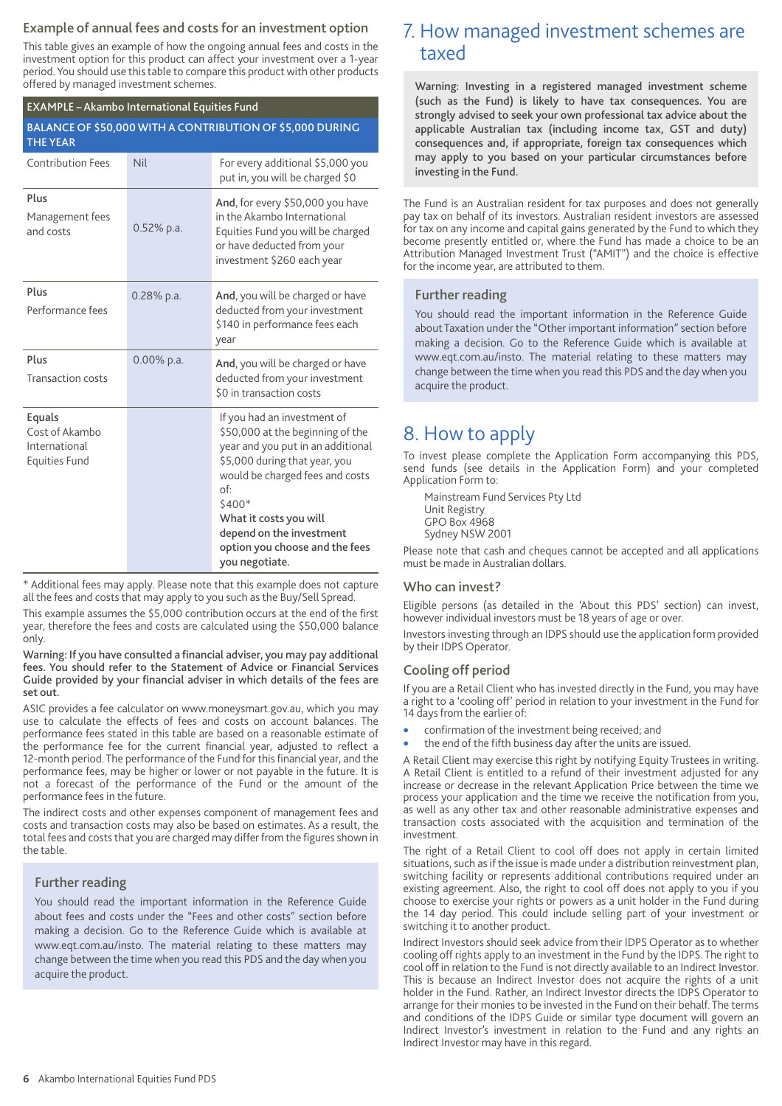#### Example of annual fees and costs for an investment option

This table gives an example of how the ongoing annual fees and costs in the investment option for this product can affect your investment over a 1-year period. You should use this table to compare this product with other products offered by managed investment schemes.

#### EXAMPLE – Akambo International Equities Fund

| BALANCE OF \$50,000 WITH A CONTRIBUTION OF \$5,000 DURING<br><b>THE YEAR</b> |               |                                                                                                                                                                                                                                                                                                     |  |
|------------------------------------------------------------------------------|---------------|-----------------------------------------------------------------------------------------------------------------------------------------------------------------------------------------------------------------------------------------------------------------------------------------------------|--|
| <b>Contribution Fees</b>                                                     | <b>Nil</b>    | For every additional \$5,000 you<br>put in, you will be charged \$0                                                                                                                                                                                                                                 |  |
| Plus<br>Management fees<br>and costs                                         | $0.52\%$ p.a. | And, for every \$50,000 you have<br>in the Akambo International<br>Equities Fund you will be charged<br>or have deducted from your<br>investment \$260 each year                                                                                                                                    |  |
| Plus<br>Performance fees                                                     | $0.28\%$ p.a. | And, you will be charged or have<br>deducted from your investment<br>\$140 in performance fees each<br>year                                                                                                                                                                                         |  |
| Plus<br><b>Transaction costs</b>                                             | $0.00\%$ p.a. | And, you will be charged or have<br>deducted from your investment<br>\$0 in transaction costs                                                                                                                                                                                                       |  |
| Equals<br>Cost of Akambo<br>International<br><b>Equities Fund</b>            |               | If you had an investment of<br>\$50,000 at the beginning of the<br>year and you put in an additional<br>\$5,000 during that year, you<br>would be charged fees and costs<br>of:<br>\$400*<br>What it costs you will<br>depend on the investment<br>option you choose and the fees<br>you negotiate. |  |

\* Additional fees may apply. Please note that this example does not capture all the fees and costs that may apply to you such as the Buy/Sell Spread.

This example assumes the \$5,000 contribution occurs at the end of the first year, therefore the fees and costs are calculated using the \$50,000 balance only.

Warning: If you have consulted a financial adviser, you may pay additional fees. You should refer to the Statement of Advice or Financial Services Guide provided by your financial adviser in which details of the fees are set out.

ASIC provides a fee calculator on www.moneysmart.gov.au, which you may use to calculate the effects of fees and costs on account balances. The performance fees stated in this table are based on a reasonable estimate of the performance fee for the current financial year, adjusted to reflect a 12-month period. The performance of the Fund for this financial year, and the performance fees, may be higher or lower or not payable in the future. It is not a forecast of the performance of the Fund or the amount of the performance fees in the future.

The indirect costs and other expenses component of management fees and costs and transaction costs may also be based on estimates. As a result, the total fees and costs that you are charged may differ from the figures shown in the table.

#### Further reading

You should read the important information in the Reference Guide about fees and costs under the "Fees and other costs" section before making a decision. Go to the Reference Guide which is available at www.eqt.com.au/insto. The material relating to these matters may change between the time when you read this PDS and the day when you acquire the product.

## 7. How managed investment schemes are taxed

Warning: Investing in a registered managed investment scheme (such as the Fund) is likely to have tax consequences. You are strongly advised to seek your own professional tax advice about the applicable Australian tax (including income tax, GST and duty) consequences and, if appropriate, foreign tax consequences which may apply to you based on your particular circumstances before investing in the Fund.

The Fund is an Australian resident for tax purposes and does not generally pay tax on behalf of its investors. Australian resident investors are assessed for tax on any income and capital gains generated by the Fund to which they become presently entitled or, where the Fund has made a choice to be an Attribution Managed Investment Trust ("AMIT") and the choice is effective for the income year, are attributed to them.

#### Further reading

You should read the important information in the Reference Guide about Taxation under the "Other important information" section before making a decision. Go to the Reference Guide which is available at www.eqt.com.au/insto. The material relating to these matters may change between the time when you read this PDS and the day when you acquire the product.

### 8. How to apply

To invest please complete the Application Form accompanying this PDS, send funds (see details in the Application Form) and your completed Application Form to:

Mainstream Fund Services Pty Ltd Unit Registry GPO Box 4968 Sydney NSW 2001

Please note that cash and cheques cannot be accepted and all applications must be made in Australian dollars.

#### Who can invest?

Eligible persons (as detailed in the 'About this PDS' section) can invest, however individual investors must be 18 years of age or over.

Investors investing through an IDPS should use the application form provided by their IDPS Operator.

#### Cooling off period

If you are a Retail Client who has invested directly in the Fund, you may have a right to a 'cooling off' period in relation to your investment in the Fund for 14 days from the earlier of:

- confirmation of the investment being received; and
- the end of the fifth business day after the units are issued.

A Retail Client may exercise this right by notifying Equity Trustees in writing. A Retail Client is entitled to a refund of their investment adjusted for any increase or decrease in the relevant Application Price between the time we process your application and the time we receive the notification from you, as well as any other tax and other reasonable administrative expenses and transaction costs associated with the acquisition and termination of the investment.

The right of a Retail Client to cool off does not apply in certain limited situations, such as if the issue is made under a distribution reinvestment plan, switching facility or represents additional contributions required under an existing agreement. Also, the right to cool off does not apply to you if you choose to exercise your rights or powers as a unit holder in the Fund during the 14 day period. This could include selling part of your investment or switching it to another product.

Indirect Investors should seek advice from their IDPS Operator as to whether cooling off rights apply to an investment in the Fund by the IDPS. The right to cool off in relation to the Fund is not directly available to an Indirect Investor. This is because an Indirect Investor does not acquire the rights of a unit holder in the Fund. Rather, an Indirect Investor directs the IDPS Operator to arrange for their monies to be invested in the Fund on their behalf. The terms and conditions of the IDPS Guide or similar type document will govern an Indirect Investor's investment in relation to the Fund and any rights an Indirect Investor may have in this regard.